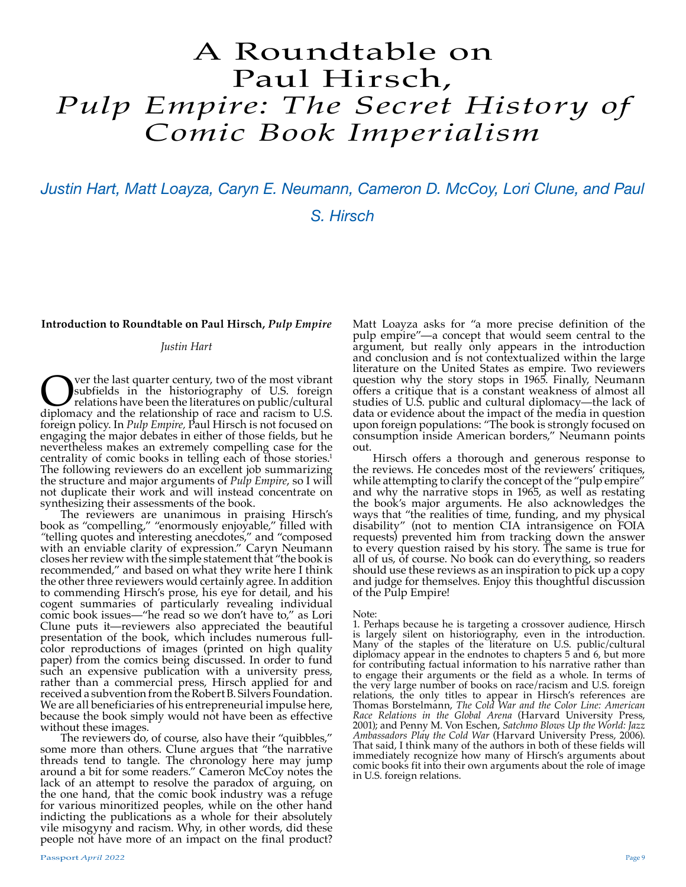# A Roundtable on Paul Hirsch, *Pulp Empire: The Secret History of Comic Book Imperialism*

*Justin Hart, Matt Loayza, Caryn E. Neumann, Cameron D. McCoy, Lori Clune, and Paul S. Hirsch*

**Introduction to Roundtable on Paul Hirsch,** *Pulp Empire*

# *Justin Hart*

**CERC** ver the last quarter century, two of the most vibrant substituted in the historiography of U.S. foreign relations have been the literatures on public/cultural diplomacy and the relationship of race and racism to U.S ver the last quarter century, two of the most vibrant<br>subfields in the historiography of U.S. foreign relations have been the literatures on public/cultural foreign policy. In *Pulp Empire,* Paul Hirsch is not focused on engaging the major debates in either of those fields, but he nevertheless makes an extremely compelling case for the centrality of comic books in telling each of those stories.<sup>1</sup> The following reviewers do an excellent job summarizing the structure and major arguments of *Pulp Empire*, so I will not duplicate their work and will instead concentrate on synthesizing their assessments of the book.

The reviewers are unanimous in praising Hirsch's book as "compelling," "enormously enjoyable," filled with *"*telling quotes and interesting anecdotes," and "composed with an enviable clarity of expression." Caryn Neumann closes her review with the simple statement that "the book is recommended," and based on what they write here I think the other three reviewers would certainly agree. In addition to commending Hirsch's prose, his eye for detail, and his cogent summaries of particularly revealing individual comic book issues—"he read so we don't have to," as Lori Clune puts it—reviewers also appreciated the beautiful presentation of the book, which includes numerous fullcolor reproductions of images (printed on high quality paper) from the comics being discussed. In order to fund such an expensive publication with a university press, rather than a commercial press, Hirsch applied for and received a subvention from the Robert B. Silvers Foundation. We are all beneficiaries of his entrepreneurial impulse here, because the book simply would not have been as effective without these images.

The reviewers do, of course, also have their "quibbles," some more than others. Clune argues that "the narrative threads tend to tangle. The chronology here may jump around a bit for some readers." Cameron McCoy notes the lack of an attempt to resolve the paradox of arguing, on the one hand, that the comic book industry was a refuge for various minoritized peoples, while on the other hand indicting the publications as a whole for their absolutely vile misogyny and racism. Why, in other words, did these people not have more of an impact on the final product?

Matt Loayza asks for "a more precise definition of the pulp empire"—a concept that would seem central to the argument, but really only appears in the introduction and conclusion and is not contextualized within the large literature on the United States as empire. Two reviewers question why the story stops in 1965. Finally, Neumann offers a critique that is a constant weakness of almost all studies of U.S. public and cultural diplomacy—the lack of data or evidence about the impact of the media in question upon foreign populations: "The book is strongly focused on consumption inside American borders," Neumann points out.

Hirsch offers a thorough and generous response to the reviews. He concedes most of the reviewers' critiques, while attempting to clarify the concept of the "pulp empire" and why the narrative stops in 1965, as well as restating the book's major arguments. He also acknowledges the ways that "the realities of time, funding, and my physical disability" (not to mention CIA intransigence on FOIA requests) prevented him from tracking down the answer to every question raised by his story. The same is true for all of us, of course. No book can do everything, so readers should use these reviews as an inspiration to pick up a copy and judge for themselves. Enjoy this thoughtful discussion of the Pulp Empire!

#### Note:

1. Perhaps because he is targeting a crossover audience, Hirsch is largely silent on historiography, even in the introduction. Many of the staples of the literature on U.S. public/cultural diplomacy appear in the endnotes to chapters 5 and 6, but more for contributing factual information to his narrative rather than to engage their arguments or the field as a whole. In terms of the very large number of books on race/racism and U.S. foreign relations, the only titles to appear in Hirsch's references are Thomas Borstelmann, *The Cold War and the Color Line: American Race Relations in the Global Arena* (Harvard University Press, 2001); and Penny M. Von Eschen, *Satchmo Blows Up the World: Jazz Ambassadors Play the Cold War* (Harvard University Press, 2006). That said, I think many of the authors in both of these fields will immediately recognize how many of Hirsch's arguments about comic books fit into their own arguments about the role of image in U.S. foreign relations.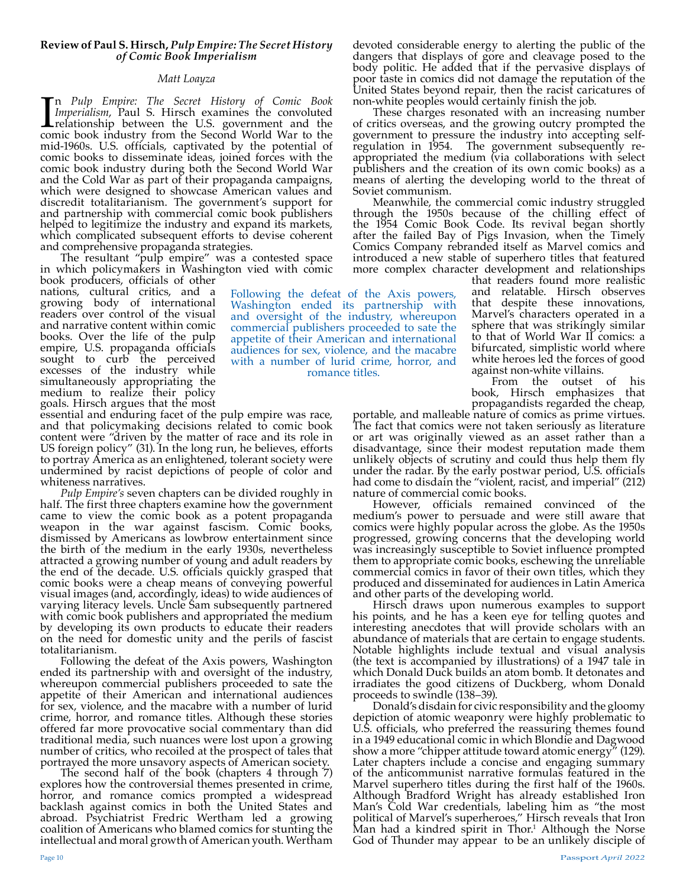# **Review of Paul S. Hirsch,** *Pulp Empire: The Secret History of Comic Book Imperialism*

# *Matt Loayza*

In Pulp Empire: The Secret History of Comic Book Imperialism, Paul S. Hirsch examines the convoluted relationship between the U.S. government and the comic book industry from the Second World War to the n *Pulp Empire: The Secret History of Comic Book Imperialism*, Paul S. Hirsch examines the convoluted relationship between the U.S. government and the mid-1960s. U.S. officials, captivated by the potential of comic books to disseminate ideas, joined forces with the comic book industry during both the Second World War and the Cold War as part of their propaganda campaigns, which were designed to showcase American values and discredit totalitarianism. The government's support for and partnership with commercial comic book publishers helped to legitimize the industry and expand its markets, which complicated subsequent efforts to devise coherent and comprehensive propaganda strategies.

The resultant "pulp empire" was a contested space<br>in which policymakers in Washington vied with comic

Following the defeat of the Axis powers, Washington ended its partnership with and oversight of the industry, whereupon commercial publishers proceeded to sate the appetite of their American and international audiences for sex, violence, and the macabre with a number of lurid crime, horror, and romance titles.

book producers, officials of other nations, cultural critics, and a growing body of international readers over control of the visual and narrative content within comic books. Over the life of the pulp empire, U.S. propaganda officials sought to curb the perceived excesses of the industry while simultaneously appropriating the medium to realize their policy goals. Hirsch argues that the most

essential and enduring facet of the pulp empire was race, and that policymaking decisions related to comic book content were "driven by the matter of race and its role in US foreign policy" (31). In the long run, he believes, efforts to portray America as an enlightened, tolerant society were undermined by racist depictions of people of color and

whiteness narratives.<br>*Pulp Empire's* seven chapters can be divided roughly in *Pulf.* The first three chapters examine how the government came to view the comic book as a potent propaganda weapon in the war against fascism. Comic books, dismissed by Americans as lowbrow entertainment since the birth of the medium in the early 1930s, nevertheless attracted a growing number of young and adult readers by the end of the decade. U.S. officials quickly grasped that comic books were a cheap means of conveying powerful visual images (and, accordingly, ideas) to wide audiences of varying literacy levels. Uncle Sam subsequently partnered with comic book publishers and appropriated the medium by developing its own products to educate their readers on the need for domestic unity and the perils of fascist totalitarianism.

Following the defeat of the Axis powers, Washington ended its partnership with and oversight of the industry, whereupon commercial publishers proceeded to sate the appetite of their American and international audiences for sex, violence, and the macabre with a number of lurid crime, horror, and romance titles. Although these stories offered far more provocative social commentary than did traditional media, such nuances were lost upon a growing number of critics, who recoiled at the prospect of tales that portrayed the more unsavory aspects of American society.

The second half of the book (chapters 4 through 7) explores how the controversial themes presented in crime, horror, and romance comics prompted a widespread backlash against comics in both the United States and abroad. Psychiatrist Fredric Wertham led a growing coalition of Americans who blamed comics for stunting the intellectual and moral growth of American youth. Wertham

devoted considerable energy to alerting the public of the dangers that displays of gore and cleavage posed to the body politic. He added that if the pervasive displays of poor taste in comics did not damage the reputation of the United States beyond repair, then the racist caricatures of non-white peoples would certainly finish the job.

These charges resonated with an increasing number of critics overseas, and the growing outcry prompted the government to pressure the industry into accepting selfregulation in 1954. The government subsequently reappropriated the medium (via collaborations with select publishers and the creation of its own comic books) as a means of alerting the developing world to the threat of

Soviet communism.<br>Meanwhile, the commercial comic industry struggled through the 1950s because of the chilling effect of the 1954 Comic Book Code. Its revival began shortly after the failed Bay of Pigs Invasion, when the Timely Comics Company rebranded itself as Marvel comics and introduced a new stable of superhero titles that featured more complex character development and relationships that readers found more realistic

and relatable. Hirsch observes that despite these innovations, Marvel's characters operated in a sphere that was strikingly similar to that of World War II comics: a bifurcated, simplistic world where white heroes led the forces of good<br>against non-white villains.

From the outset of his book, Hirsch emphasizes that propagandists regarded the cheap,

portable, and malleable nature of comics as prime virtues. The fact that comics were not taken seriously as literature or art was originally viewed as an asset rather than a disadvantage, since their modest reputation made them unlikely objects of scrutiny and could thus help them fly under the radar. By the early postwar period, U.S. officials had come to disdain the "violent, racist, and imperial" (212) nature of commercial comic books.

However, officials remained convinced of the medium's power to persuade and were still aware that comics were highly popular across the globe. As the 1950s progressed, growing concerns that the developing world was increasingly susceptible to Soviet influence prompted them to appropriate comic books, eschewing the unreliable commercial comics in favor of their own titles, which they produced and disseminated for audiences in Latin America and other parts of the developing world.

Hirsch draws upon numerous examples to support his points, and he has a keen eye for telling quotes and interesting anecdotes that will provide scholars with an abundance of materials that are certain to engage students. Notable highlights include textual and visual analysis (the text is accompanied by illustrations) of a 1947 tale in which Donald Duck builds an atom bomb. It detonates and irradiates the good citizens of Duckberg, whom Donald proceeds to swindle (138–39).

Donald's disdain for civic responsibility and the gloomy depiction of atomic weaponry were highly problematic to U.S. officials, who preferred the reassuring themes found in a 1949 educational comic in which Blondie and Dagwood show a more "chipper attitude toward atomic energy" (129). Later chapters include a concise and engaging summary of the anticommunist narrative formulas featured in the Marvel superhero titles during the first half of the 1960s. Although Bradford Wright has already established Iron Man's Cold War credentials, labeling him as "the most political of Marvel's superheroes," Hirsch reveals that Iron Man had a kindred spirit in Thor.<sup>1</sup> Although the Norse God of Thunder may appear to be an unlikely disciple of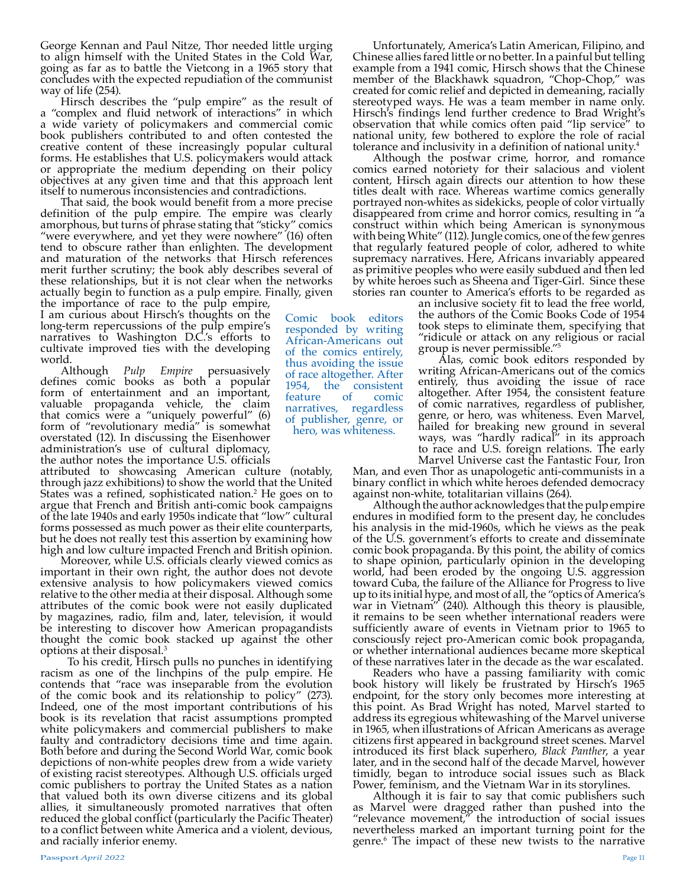George Kennan and Paul Nitze, Thor needed little urging to align himself with the United States in the Cold War, going as far as to battle the Vietcong in a 1965 story that concludes with the expected repudiation of the communist way of life (254).

Hirsch describes the "pulp empire" as the result of a "complex and fluid network of interactions" in which a wide variety of policymakers and commercial comic book publishers contributed to and often contested the creative content of these increasingly popular cultural forms. He establishes that U.S. policymakers would attack or appropriate the medium depending on their policy objectives at any given time and that this approach lent itself to numerous inconsistencies and contradictions.

That said, the book would benefit from a more precise definition of the pulp empire. The empire was clearly amorphous, but turns of phrase stating that "sticky" comics "were everywhere, and yet they were nowhere" (16) often tend to obscure rather than enlighten. The development and maturation of the networks that Hirsch references merit further scrutiny; the book ably describes several of these relationships, but it is not clear when the networks actually begin to function as a pulp empire. Finally, given

the importance of race to the pulp empire, I am curious about Hirsch's thoughts on the long-term repercussions of the pulp empire's narratives to Washington D.C.'s efforts to cultivate improved ties with the developing world.

Although *Pulp Empire* persuasively defines comic books as both a popular form of entertainment and an important, valuable propaganda vehicle, the claim that comics were a "uniquely powerful" (6) form of "revolutionary media" is somewhat overstated (12). In discussing the Eisenhower administration's use of cultural diplomacy, the author notes the importance U.S. officials

attributed to showcasing American culture (notably, through jazz exhibitions) to show the world that the United States was a refined, sophisticated nation.<sup>2</sup> He goes on to argue that French and British anti-comic book campaigns of the late 1940s and early 1950s indicate that "low" cultural forms possessed as much power as their elite counterparts, but he does not really test this assertion by examining how

high and low culture impacted French and British opinion. Moreover, while U.S. officials clearly viewed comics as important in their own right, the author does not devote extensive analysis to how policymakers viewed comics relative to the other media at their disposal. Although some attributes of the comic book were not easily duplicated by magazines, radio, film and, later, television, it would be interesting to discover how American propagandists thought the comic book stacked up against the other options at their disposal.3

 To his credit, Hirsch pulls no punches in identifying racism as one of the linchpins of the pulp empire. He contends that "race was inseparable from the evolution of the comic book and its relationship to policy" (273). Indeed, one of the most important contributions of his book is its revelation that racist assumptions prompted white policymakers and commercial publishers to make faulty and contradictory decisions time and time again. Both before and during the Second World War, comic book depictions of non-white peoples drew from a wide variety of existing racist stereotypes. Although U.S. officials urged comic publishers to portray the United States as a nation that valued both its own diverse citizens and its global allies, it simultaneously promoted narratives that often reduced the global conflict (particularly the Pacific Theater) to a conflict between white America and a violent, devious, and racially inferior enemy.

Unfortunately, America's Latin American, Filipino, and Chinese allies fared little or no better. In a painful but telling example from a 1941 comic, Hirsch shows that the Chinese member of the Blackhawk squadron, "Chop-Chop," was created for comic relief and depicted in demeaning, racially stereotyped ways. He was a team member in name only. Hirsch's findings lend further credence to Brad Wright's observation that while comics often paid "lip service" to national unity, few bothered to explore the role of racial tolerance and inclusivity in a definition of national unity.4

Although the postwar crime, horror, and romance comics earned notoriety for their salacious and violent content, Hirsch again directs our attention to how these titles dealt with race. Whereas wartime comics generally portrayed non-whites as sidekicks, people of color virtually disappeared from crime and horror comics, resulting in "a construct within which being American is synonymous with being White" (112). Jungle comics, one of the few genres that regularly featured people of color, adhered to white supremacy narratives. Here, Africans invariably appeared as primitive peoples who were easily subdued and then led by white heroes such as Sheena and Tiger-Girl. Since these stories ran counter to America's efforts to be regarded as

an inclusive society fit to lead the free world, the authors of the Comic Books Code of 1954 took steps to eliminate them, specifying that "ridicule or attack on any religious or racial group is never permissible."5

Alas, comic book editors responded by writing African-Americans out of the comics entirely, thus avoiding the issue of race altogether. After 1954, the consistent feature of comic narratives, regardless of publisher, genre, or hero, was whiteness. Even Marvel, hailed for breaking new ground in several ways, was "hardly radical" in its approach to race and U.S. foreign relations. The early Marvel Universe cast the Fantastic Four, Iron

Man, and even Thor as unapologetic anti-communists in a binary conflict in which white heroes defended democracy against non-white, totalitarian villains (264).

Although the author acknowledges that the pulp empire endures in modified form to the present day, he concludes his analysis in the mid-1960s, which he views as the peak of the U.S. government's efforts to create and disseminate comic book propaganda. By this point, the ability of comics to shape opinion, particularly opinion in the developing world, had been eroded by the ongoing U.S. aggression toward Cuba, the failure of the Alliance for Progress to live up to its initial hype, and most of all, the "optics of America's war in Vietnam" (240). Although this theory is plausible, it remains to be seen whether international readers were sufficiently aware of events in Vietnam prior to 1965 to consciously reject pro-American comic book propaganda, or whether international audiences became more skeptical of these narratives later in the decade as the war escalated.

Readers who have a passing familiarity with comic book history will likely be frustrated by Hirsch's 1965 endpoint, for the story only becomes more interesting at this point. As Brad Wright has noted, Marvel started to address its egregious whitewashing of the Marvel universe in 1965, when illustrations of African Americans as average citizens first appeared in background street scenes. Marvel introduced its first black superhero, *Black Panther*, a year later, and in the second half of the decade Marvel, however timidly, began to introduce social issues such as Black Power, feminism, and the Vietnam War in its storylines.

Although it is fair to say that comic publishers such as Marvel were dragged rather than pushed into the "relevance movement," the introduction of social issues nevertheless marked an important turning point for the genre.6 The impact of these new twists to the narrative

Comic book editors responded by writing African-Americans out of the comics entirely, thus avoiding the issue of race altogether. After 1954, the consistent feature of comic narratives, regardless of publisher, genre, or hero, was whiteness.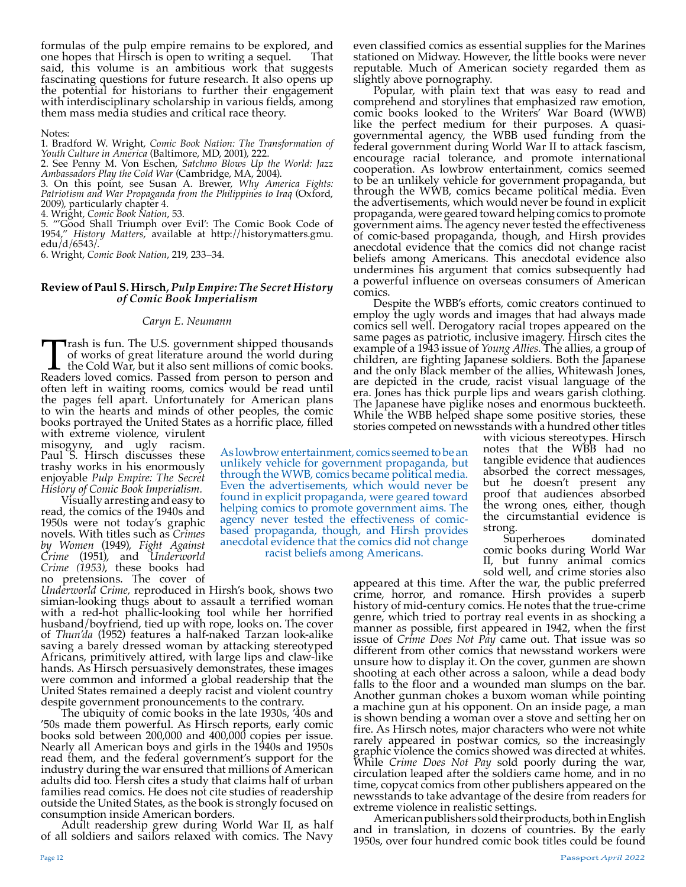formulas of the pulp empire remains to be explored, and one hopes that Hirsch is open to writing a sequel. said, this volume is an ambitious work that suggests fascinating questions for future research. It also opens up the potential for historians to further their engagement with interdisciplinary scholarship in various fields, among them mass media studies and critical race theory.

#### Notes:

1. Bradford W. Wright, *Comic Book Nation: The Transformation of Youth Culture in America* (Baltimore, MD, 2001), 222.

2. See Penny M. Von Eschen, *Satchmo Blows Up the World: Jazz Ambassadors Play the Cold War* (Cambridge, MA, 2004).

3. On this point, see Susan A. Brewer, *Why America Fights: Patriotism and War Propaganda from the Philippines to Iraq* (Oxford, 2009), particularly chapter 4.

4. Wright, *Comic Book Nation*, 53.

5. "'Good Shall Triumph over Evil': The Comic Book Code of 1954," *History Matters*, available at http://historymatters.gmu. edu/d/6543/.

6. Wright, *Comic Book Nation*, 219, 233–34.

### **Review of Paul S. Hirsch,** *Pulp Empire: The Secret History of Comic Book Imperialism*

#### *Caryn E. Neumann*

Trash is fun. The U.S. government shipped thousands of works of great literature around the world during the Cold War, but it also sent millions of comic books. Readers loved comics. Passed from person to person and often left in waiting rooms, comics would be read until the pages fell apart. Unfortunately for American plans to win the hearts and minds of other peoples, the comic books portrayed the United States as a horrific place, filled

with extreme violence, virulent misogyny, and ugly racism. Paul S. Hirsch discusses these trashy works in his enormously enjoyable *Pulp Empire: The Secret History of Comic Book Imperialism.* 

Visually arresting and easy to read, the comics of the 1940s and 1950s were not today's graphic novels. With titles such as *Crimes by Women* (1949), *Fight Against Crime* (1951), and *Underworld Crime (1953)*, these books had no pretensions. The cover of

*Underworld Crime,* reproduced in Hirsh's book, shows two simian-looking thugs about to assault a terrified woman with a red-hot phallic-looking tool while her horrified husband/boyfriend, tied up with rope, looks on. The cover of *Thun'da* (1952) features a half-naked Tarzan look-alike saving a barely dressed woman by attacking stereotyped Africans, primitively attired, with large lips and claw-like hands. As Hirsch persuasively demonstrates, these images were common and informed a global readership that the United States remained a deeply racist and violent country

despite government pronouncements to the contrary. The ubiquity of comic books in the late 1930s, '40s and '50s made them powerful. As Hirsch reports, early comic books sold between 200,000 and 400,000 copies per issue. Nearly all American boys and girls in the 1940s and 1950s read them, and the federal government's support for the industry during the war ensured that millions of American adults did too. Hersh cites a study that claims half of urban families read comics. He does not cite studies of readership outside the United States, as the book is strongly focused on consumption inside American borders.

Adult readership grew during World War II, as half of all soldiers and sailors relaxed with comics. The Navy

As lowbrow entertainment, comics seemed to be an unlikely vehicle for government propaganda, but through the WWB, comics became political media. Even the advertisements, which would never be found in explicit propaganda, were geared toward helping comics to promote government aims. The agency never tested the effectiveness of comicbased propaganda, though, and Hirsh provides anecdotal evidence that the comics did not change

racist beliefs among Americans.

even classified comics as essential supplies for the Marines stationed on Midway. However, the little books were never reputable. Much of American society regarded them as slightly above pornography.

Popular, with plain text that was easy to read and comprehend and storylines that emphasized raw emotion, comic books looked to the Writers' War Board (WWB) like the perfect medium for their purposes. A quasigovernmental agency, the WBB used funding from the federal government during World War II to attack fascism, encourage racial tolerance, and promote international cooperation. As lowbrow entertainment, comics seemed to be an unlikely vehicle for government propaganda, but through the WWB, comics became political media. Even the advertisements, which would never be found in explicit propaganda, were geared toward helping comics to promote government aims. The agency never tested the effectiveness of comic-based propaganda, though, and Hirsh provides anecdotal evidence that the comics did not change racist beliefs among Americans. This anecdotal evidence also undermines his argument that comics subsequently had a powerful influence on overseas consumers of American comics.

Despite the WBB's efforts, comic creators continued to employ the ugly words and images that had always made comics sell well. Derogatory racial tropes appeared on the same pages as patriotic, inclusive imagery. Hirsch cites the example of a 1943 issue of *Young Allies.* The allies, a group of children, are fighting Japanese soldiers. Both the Japanese and the only Black member of the allies, Whitewash Jones, are depicted in the crude, racist visual language of the era. Jones has thick purple lips and wears garish clothing. The Japanese have piglike noses and enormous buckteeth. While the WBB helped shape some positive stories, these stories competed on newsstands with a hundred other titles

> with vicious stereotypes. Hirsch notes that the WBB had no tangible evidence that audiences absorbed the correct messages, but he doesn't present any proof that audiences absorbed the wrong ones, either, though the circumstantial evidence is

> strong. Superheroes dominated comic books during World War II, but funny animal comics sold well, and crime stories also

appeared at this time. After the war, the public preferred crime, horror, and romance. Hirsh provides a superb history of mid-century comics. He notes that the true-crime genre, which tried to portray real events in as shocking a manner as possible, first appeared in 1942, when the first issue of *Crime Does Not Pay* came out. That issue was so different from other comics that newsstand workers were unsure how to display it. On the cover, gunmen are shown shooting at each other across a saloon, while a dead body falls to the floor and a wounded man slumps on the bar. Another gunman chokes a buxom woman while pointing a machine gun at his opponent. On an inside page, a man is shown bending a woman over a stove and setting her on fire. As Hirsch notes, major characters who were not white rarely appeared in postwar comics, so the increasingly graphic violence the comics showed was directed at whites. While *Crime Does Not Pay* sold poorly during the war, circulation leaped after the soldiers came home, and in no time, copycat comics from other publishers appeared on the newsstands to take advantage of the desire from readers for extreme violence in realistic settings.

American publishers sold their products, both in English and in translation, in dozens of countries. By the early 1950s, over four hundred comic book titles could be found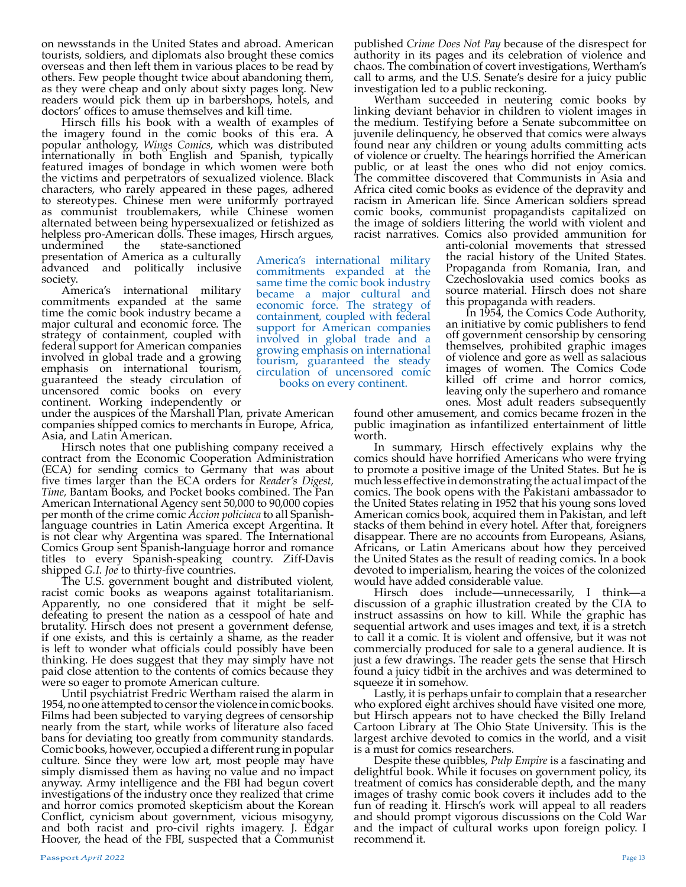on newsstands in the United States and abroad. American tourists, soldiers, and diplomats also brought these comics overseas and then left them in various places to be read by others. Few people thought twice about abandoning them, as they were cheap and only about sixty pages long. New readers would pick them up in barbershops, hotels, and doctors' offices to amuse themselves and kill time.

Hirsch fills his book with a wealth of examples of the imagery found in the comic books of this era. A popular anthology, *Wings Comics*, which was distributed internationally in both English and Spanish, typically featured images of bondage in which women were both the victims and perpetrators of sexualized violence. Black characters, who rarely appeared in these pages, adhered to stereotypes. Chinese men were uniformly portrayed as communist troublemakers, while Chinese women alternated between being hypersexualized or fetishized as helpless pro-American dolls. These images, Hirsch argues, undermined the state-sanctioned

> America's international military commitments expanded at the same time the comic book industry became a major cultural and economic force. The strategy of containment, coupled with federal support for American companies involved in global trade and a growing emphasis on international tourism, guaranteed the steady circulation of uncensored comic books on every continent.

state-sanctioned presentation of America as a culturally advanced and politically inclusive society.

America's international military commitments expanded at the same time the comic book industry became a major cultural and economic force. The strategy of containment, coupled with federal support for American companies involved in global trade and a growing emphasis on international tourism, guaranteed the steady circulation of uncensored comic books on every continent. Working independently or

under the auspices of the Marshall Plan, private American companies shipped comics to merchants in Europe, Africa, Asia, and Latin American.

Hirsch notes that one publishing company received a contract from the Economic Cooperation Administration (ECA) for sending comics to Germany that was about five times larger than the ECA orders for *Reader's Digest, Time,* Bantam Books, and Pocket books combined. The Pan American International Agency sent 50,000 to 90,000 copies per month of the crime comic *Accion policiaca* to all Spanish- language countries in Latin America except Argentina. It is not clear why Argentina was spared. The International Comics Group sent Spanish-language horror and romance titles to every Spanish-speaking country. Ziff-Davis shipped *G.I. Joe* to thirty-five countries.

The U.S. government bought and distributed violent, racist comic books as weapons against totalitarianism. Apparently, no one considered that it might be selfdefeating to present the nation as a cesspool of hate and brutality. Hirsch does not present a government defense, if one exists, and this is certainly a shame, as the reader is left to wonder what officials could possibly have been thinking. He does suggest that they may simply have not paid close attention to the contents of comics because they were so eager to promote American culture.

Until psychiatrist Fredric Wertham raised the alarm in 1954, no one attempted to censor the violence in comic books. Films had been subjected to varying degrees of censorship nearly from the start, while works of literature also faced bans for deviating too greatly from community standards. Comic books, however, occupied a different rung in popular culture. Since they were low art, most people may have simply dismissed them as having no value and no impact anyway. Army intelligence and the FBI had begun covert investigations of the industry once they realized that crime and horror comics promoted skepticism about the Korean Conflict, cynicism about government, vicious misogyny, and both racist and pro-civil rights imagery. J. Edgar Hoover, the head of the FBI, suspected that a Communist published *Crime Does Not Pay* because of the disrespect for authority in its pages and its celebration of violence and chaos. The combination of covert investigations, Wertham's call to arms, and the U.S. Senate's desire for a juicy public investigation led to a public reckoning.

Wertham succeeded in neutering comic books by linking deviant behavior in children to violent images in the medium. Testifying before a Senate subcommittee on juvenile delinquency, he observed that comics were always found near any children or young adults committing acts of violence or cruelty. The hearings horrified the American public, or at least the ones who did not enjoy comics. The committee discovered that Communists in Asia and Africa cited comic books as evidence of the depravity and racism in American life. Since American soldiers spread comic books, communist propagandists capitalized on the image of soldiers littering the world with violent and racist narratives. Comics also provided ammunition for

anti-colonial movements that stressed the racial history of the United States. Propaganda from Romania, Iran, and Czechoslovakia used comics books as source material. Hirsch does not share this propaganda with readers.

In 1954, the Comics Code Authority, an initiative by comic publishers to fend off government censorship by censoring themselves, prohibited graphic images of violence and gore as well as salacious images of women. The Comics Code killed off crime and horror comics, leaving only the superhero and romance ones. Most adult readers subsequently

found other amusement, and comics became frozen in the public imagination as infantilized entertainment of little worth.

In summary, Hirsch effectively explains why the comics should have horrified Americans who were trying to promote a positive image of the United States. But he is much less effective in demonstrating the actual impact of the comics. The book opens with the Pakistani ambassador to the United States relating in 1952 that his young sons loved American comics book, acquired them in Pakistan, and left stacks of them behind in every hotel. After that, foreigners disappear. There are no accounts from Europeans, Asians, Africans, or Latin Americans about how they perceived the United States as the result of reading comics. In a book devoted to imperialism, hearing the voices of the colonized

would have added considerable value.<br>Hirsch does include—unnecessarily, I think—a discussion of a graphic illustration created by the CIA to instruct assassins on how to kill. While the graphic has sequential artwork and uses images and text, it is a stretch to call it a comic. It is violent and offensive, but it was not commercially produced for sale to a general audience. It is just a few drawings. The reader gets the sense that Hirsch found a juicy tidbit in the archives and was determined to squeeze it in somehow.

Lastly, it is perhaps unfair to complain that a researcher who explored eight archives should have visited one more, but Hirsch appears not to have checked the Billy Ireland Cartoon Library at The Ohio State University. This is the largest archive devoted to comics in the world, and a visit is a must for comics researchers.

Despite these quibbles, *Pulp Empire* is a fascinating and delightful book. While it focuses on government policy, its treatment of comics has considerable depth, and the many images of trashy comic book covers it includes add to the fun of reading it. Hirsch's work will appeal to all readers and should prompt vigorous discussions on the Cold War and the impact of cultural works upon foreign policy. I recommend it.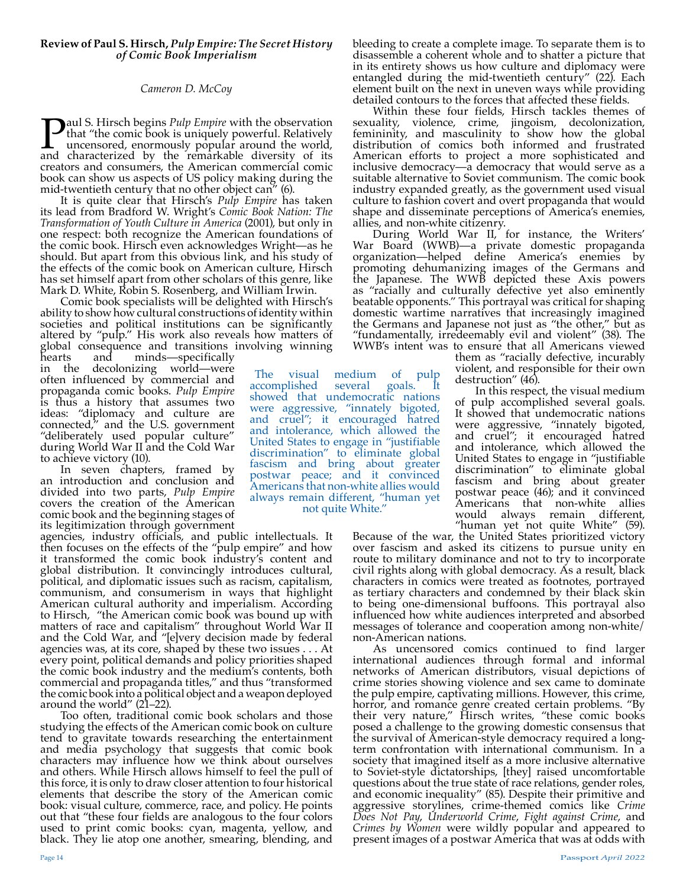# *Cameron D. McCoy*

Paul S. Hirsch begins *Pulp Empire* with the observation that "the comic book is uniquely powerful. Relatively uncensored, enormously popular around the world, and characterized by the remarkable diversity of its creators and consumers, the American commercial comic book can show us aspects of US policy making during the mid-twentieth century that no other object can" (6).

It is quite clear that Hirsch's *Pulp Empire* has taken its lead from Bradford W. Wright's *Comic Book Nation: The Transformation of Youth Culture in America* (2001), but only in one respect: both recognize the American foundations of the comic book. Hirsch even acknowledges Wright—as he should. But apart from this obvious link, and his study of the effects of the comic book on American culture, Hirsch has set himself apart from other scholars of this genre, like Mark D. White, Robin S. Rosenberg, and William Irwin.

Comic book specialists will be delighted with Hirsch's ability to show how cultural constructions of identity within societies and political institutions can be significantly altered by "pulp." His work also reveals how matters of global consequence and transitions involving winning<br>hearts and minds—specifically

The visual medium of pulp<br>accomplished several goals. It

showed that undemocratic nations were aggressive, "innately bigoted, and cruel"; it encouraged hatred and intolerance, which allowed the United States to engage in "justifiable discrimination" to eliminate global fascism and bring about greater postwar peace; and it convinced Americans that non-white allies would always remain different, "human yet not quite White."

accomplished

minds—specifically in the decolonizing world—were often influenced by commercial and propaganda comic books. *Pulp Empire* is thus a history that assumes two ideas: "diplomacy and culture are connected," and the U.S. government "deliberately used popular culture" during World War II and the Cold War to achieve victory (10).

In seven chapters, framed by an introduction and conclusion and divided into two parts, *Pulp Empire* covers the creation of the American comic book and the beginning stages of its legitimization through government

agencies, industry officials, and public intellectuals. It then focuses on the effects of the "pulp empire" and how it transformed the comic book industry's content and global distribution. It convincingly introduces cultural, political, and diplomatic issues such as racism, capitalism, communism, and consumerism in ways that highlight American cultural authority and imperialism. According to Hirsch, "the American comic book was bound up with matters of race and capitalism" throughout World War II and the Cold War, and "[e]very decision made by federal agencies was, at its core, shaped by these two issues . . . At every point, political demands and policy priorities shaped the comic book industry and the medium's contents, both commercial and propaganda titles," and thus "transformed the comic book into a political object and a weapon deployed around the world" (21–22).

Too often, traditional comic book scholars and those studying the effects of the American comic book on culture tend to gravitate towards researching the entertainment and media psychology that suggests that comic book characters may influence how we think about ourselves and others. While Hirsch allows himself to feel the pull of this force, it is only to draw closer attention to four historical elements that describe the story of the American comic book: visual culture, commerce, race, and policy. He points out that "these four fields are analogous to the four colors used to print comic books: cyan, magenta, yellow, and black. They lie atop one another, smearing, blending, and

bleeding to create a complete image. To separate them is to disassemble a coherent whole and to shatter a picture that in its entirety shows us how culture and diplomacy were entangled during the mid-twentieth century" (22). Each element built on the next in uneven ways while providing detailed contours to the forces that affected these fields.

Within these four fields, Hirsch tackles themes of sexuality, violence, crime, jingoism, decolonization, femininity, and masculinity to show how the global distribution of comics both informed and frustrated American efforts to project a more sophisticated and inclusive democracy—a democracy that would serve as a suitable alternative to Soviet communism. The comic book industry expanded greatly, as the government used visual culture to fashion covert and overt propaganda that would shape and disseminate perceptions of America's enemies, allies, and non-white citizenry.

During World War II, for instance, the Writers' War Board (WWB)—a private domestic propaganda organization—helped define America's enemies by promoting dehumanizing images of the Germans and the Japanese. The WWB depicted these Axis powers as "racially and culturally defective yet also eminently beatable opponents." This portrayal was critical for shaping domestic wartime narratives that increasingly imagined the Germans and Japanese not just as "the other," but as "fundamentally, irredeemably evil and violent" (38). The WWB's intent was to ensure that all Americans viewed

them as "racially defective, incurably violent, and responsible for their own destruction" (46).

In this respect, the visual medium of pulp accomplished several goals. It showed that undemocratic nations were aggressive, "innately bigoted, and cruel"; it encouraged hatred and intolerance, which allowed the United States to engage in "justifiable discrimination" to eliminate global fascism and bring about greater postwar peace (46); and it convinced Americans that non-white allies would always remain different,<br>"human yet not quite White" (59).

Because of the war, the United States prioritized victory over fascism and asked its citizens to pursue unity en route to military dominance and not to try to incorporate civil rights along with global democracy. As a result, black characters in comics were treated as footnotes, portrayed as tertiary characters and condemned by their black skin to being one-dimensional buffoons. This portrayal also influenced how white audiences interpreted and absorbed messages of tolerance and cooperation among non-white/

non-American nations.<br>As uncensored comics continued to find larger international audiences through formal and informal networks of American distributors, visual depictions of crime stories showing violence and sex came to dominate the pulp empire, captivating millions. However, this crime, horror, and romance genre created certain problems. "By their very nature," Hirsch writes, "these comic books posed a challenge to the growing domestic consensus that the survival of American-style democracy required a longterm confrontation with international communism. In a society that imagined itself as a more inclusive alternative to Soviet-style dictatorships, [they] raised uncomfortable questions about the true state of race relations, gender roles, and economic inequality" (85). Despite their primitive and aggressive storylines, crime-themed comics like *Crime Does Not Pay*, *Underworld Crime*, *Fight against Crime*, and *Crimes by Women* were wildly popular and appeared to present images of a postwar America that was at odds with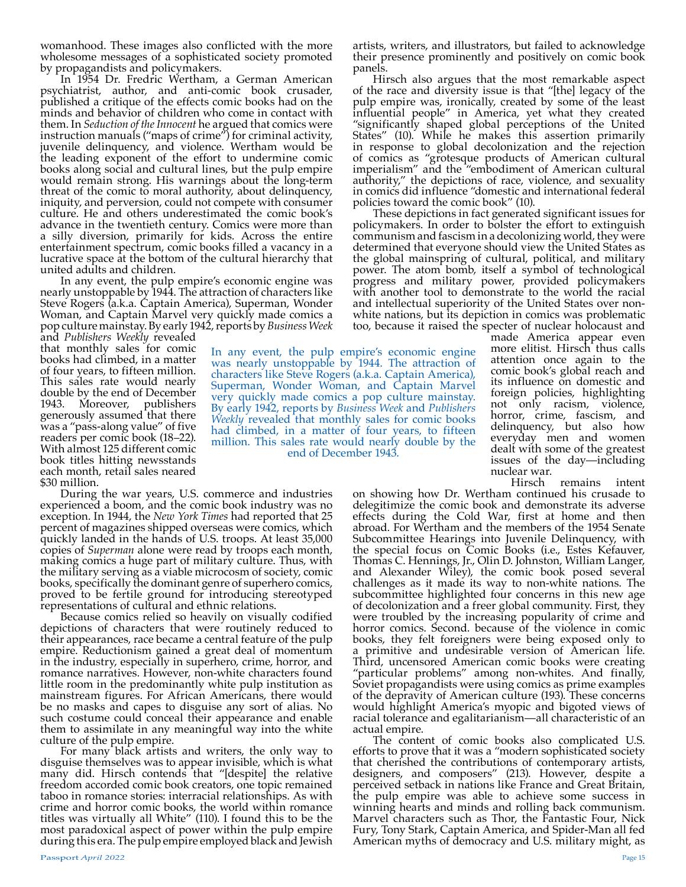womanhood. These images also conflicted with the more wholesome messages of a sophisticated society promoted by propagandists and policymakers.

In 1954 Dr. Fredric Wertham, a German American psychiatrist, author, and anti-comic book crusader, published a critique of the effects comic books had on the minds and behavior of children who come in contact with them. In *Seduction of the Innocent* he argued that comics were instruction manuals ("maps of crime") for criminal activity, juvenile delinquency, and violence. Wertham would be the leading exponent of the effort to undermine comic books along social and cultural lines, but the pulp empire would remain strong. His warnings about the long-term threat of the comic to moral authority, about delinquency, iniquity, and perversion, could not compete with consumer culture. He and others underestimated the comic book's advance in the twentieth century. Comics were more than a silly diversion, primarily for kids. Across the entire entertainment spectrum, comic books filled a vacancy in a lucrative space at the bottom of the cultural hierarchy that united adults and children.

In any event, the pulp empire's economic engine was nearly unstoppable by 1944. The attraction of characters like Steve Rogers (a.k.a. Captain America), Superman, Wonder Woman, and Captain Marvel very quickly made comics a pop culture mainstay. By early 1942, reports by *Business Week* 

and *Publishers Weekly* revealed that monthly sales for comic books had climbed, in a matter of four years, to fifteen million. This sales rate would nearly double by the end of December<br>1943. Moreover, publishers publishers generously assumed that there was a "pass-along value" of five readers per comic book (18–22). With almost 125 different comic book titles hitting newsstands each month, retail sales neared \$30 million.

During the war years, U.S. commerce and industries experienced a boom, and the comic book industry was no exception. In 1944, the *New York Times* had reported that 25 percent of magazines shipped overseas were comics, which quickly landed in the hands of U.S. troops. At least 35,000 copies of *Superman* alone were read by troops each month, making comics a huge part of military culture. Thus, with the military serving as a viable microcosm of society, comic books, specifically the dominant genre of superhero comics, proved to be fertile ground for introducing stereotyped representations of cultural and ethnic relations.

Because comics relied so heavily on visually codified depictions of characters that were routinely reduced to their appearances, race became a central feature of the pulp empire. Reductionism gained a great deal of momentum in the industry, especially in superhero, crime, horror, and romance narratives. However, non-white characters found little room in the predominantly white pulp institution as mainstream figures. For African Americans, there would be no masks and capes to disguise any sort of alias. No such costume could conceal their appearance and enable them to assimilate in any meaningful way into the white culture of the pulp empire.

For many black artists and writers, the only way to disguise themselves was to appear invisible, which is what many did. Hirsch contends that "[despite] the relative freedom accorded comic book creators, one topic remained taboo in romance stories: interracial relationships. As with crime and horror comic books, the world within romance titles was virtually all White" (110). I found this to be the most paradoxical aspect of power within the pulp empire during this era. The pulp empire employed black and Jewish

artists, writers, and illustrators, but failed to acknowledge their presence prominently and positively on comic book panels.

Hirsch also argues that the most remarkable aspect of the race and diversity issue is that "[the] legacy of the pulp empire was, ironically, created by some of the least influential people" in America, yet what they created "significantly shaped global perceptions of the United States" (10). While he makes this assertion primarily in response to global decolonization and the rejection of comics as "grotesque products of American cultural imperialism" and the "embodiment of American cultural authority," the depictions of race, violence, and sexuality in comics did influence "domestic and international federal policies toward the comic book" (10).

These depictions in fact generated significant issues for policymakers. In order to bolster the effort to extinguish communism and fascism in a decolonizing world, they were determined that everyone should view the United States as the global mainspring of cultural, political, and military power. The atom bomb, itself a symbol of technological progress and military power, provided policymakers with another tool to demonstrate to the world the racial and intellectual superiority of the United States over nonwhite nations, but its depiction in comics was problematic too, because it raised the specter of nuclear holocaust and

In any event, the pulp empire's economic engine was nearly unstoppable by 1944. The attraction of characters like Steve Rogers (a.k.a. Captain America), Superman, Wonder Woman, and Captain Marvel very quickly made comics a pop culture mainstay. By early 1942, reports by *Business Week* and *Publishers Weekly* revealed that monthly sales for comic books had climbed, in a matter of four years, to fifteen million. This sales rate would nearly double by the end of December 1943.

made America appear even more elitist. Hirsch thus calls attention once again to the comic book's global reach and its influence on domestic and foreign policies, highlighting not only racism, violence, horror, crime, fascism, and delinquency, but also how everyday men and women dealt with some of the greatest issues of the day—including nuclear war.<br>Hirsch

remains intent

on showing how Dr. Wertham continued his crusade to delegitimize the comic book and demonstrate its adverse effects during the Cold War, first at home and then abroad. For Wertham and the members of the 1954 Senate Subcommittee Hearings into Juvenile Delinquency, with the special focus on Comic Books (i.e., Estes Kefauver, Thomas C. Hennings, Jr., Olin D. Johnston, William Langer, and Alexander Wiley), the comic book posed several challenges as it made its way to non-white nations. The subcommittee highlighted four concerns in this new age of decolonization and a freer global community. First, they were troubled by the increasing popularity of crime and horror comics. Second. because of the violence in comic books, they felt foreigners were being exposed only to a primitive and undesirable version of American life. Third, uncensored American comic books were creating "particular problems" among non-whites. And finally, Soviet propagandists were using comics as prime examples of the depravity of American culture (193). These concerns would highlight America's myopic and bigoted views of racial tolerance and egalitarianism—all characteristic of an actual empire.

The content of comic books also complicated U.S. efforts to prove that it was a "modern sophisticated society that cherished the contributions of contemporary artists, designers, and composers" (213). However, despite a perceived setback in nations like France and Great Britain, the pulp empire was able to achieve some success in winning hearts and minds and rolling back communism. Marvel characters such as Thor, the Fantastic Four, Nick Fury, Tony Stark, Captain America, and Spider-Man all fed American myths of democracy and U.S. military might, as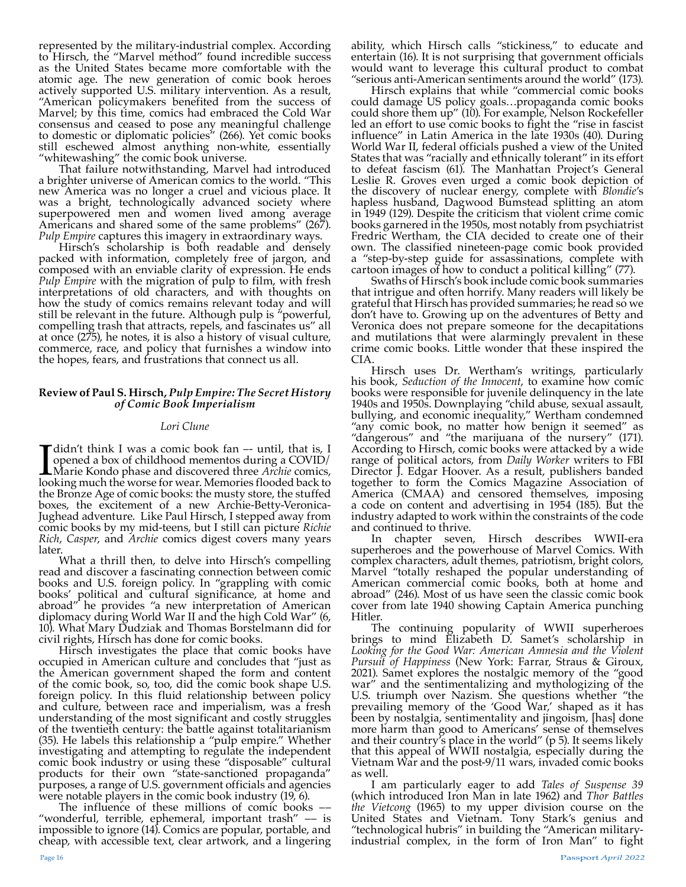represented by the military-industrial complex. According to Hirsch, the "Marvel method" found incredible success as the United States became more comfortable with the atomic age. The new generation of comic book heroes actively supported U.S. military intervention. As a result, "American policymakers benefited from the success of Marvel; by this time, comics had embraced the Cold War consensus and ceased to pose any meaningful challenge to domestic or diplomatic policies" (266). Yet comic books still eschewed almost anything non-white, essentially "whitewashing" the comic book universe.

That failure notwithstanding, Marvel had introduced a brighter universe of American comics to the world. "This new America was no longer a cruel and vicious place. It was a bright, technologically advanced society where superpowered men and women lived among average Americans and shared some of the same problems" (267). *Pulp Empire* captures this imagery in extraordinary ways.

Hirsch's scholarship is both readable and densely packed with information, completely free of jargon, and composed with an enviable clarity of expression. He ends *Pulp Empire* with the migration of pulp to film, with fresh interpretations of old characters, and with thoughts on how the study of comics remains relevant today and will still be relevant in the future. Although pulp is "powerful, compelling trash that attracts, repels, and fascinates us" all at once (275), he notes, it is also a history of visual culture, commerce, race, and policy that furnishes a window into the hopes, fears, and frustrations that connect us all.

# **Review of Paul S. Hirsch,** *Pulp Empire: The Secret History of Comic Book Imperialism*

# *Lori Clune*

I didn't think I was a comic book fan -- until, that is, I opened a box of childhood mementos during a COVID/<br>Marie Kondo phase and discovered three *Archie* comics, looking much the worse for wear. Memories flooded back t opened a box of childhood mementos during a COVID/ Marie Kondo phase and discovered three *Archie* comics, looking much the worse for wear. Memories flooded back to the Bronze Age of comic books: the musty store, the stuffed boxes, the excitement of a new Archie-Betty-Veronica-Jughead adventure. Like Paul Hirsch, I stepped away from comic books by my mid-teens, but I still can picture *Richie Rich*, *Casper*, and *Archie* comics digest covers many years later.

What a thrill then, to delve into Hirsch's compelling read and discover a fascinating connection between comic books and U.S. foreign policy. In "grappling with comic books' political and cultural significance, at home and abroad" he provides "a new interpretation of American diplomacy during World War II and the high Cold War" (6, 10). What Mary Dudziak and Thomas Borstelmann did for civil rights, Hirsch has done for comic books.

Hirsch investigates the place that comic books have occupied in American culture and concludes that "just as the American government shaped the form and content of the comic book, so, too, did the comic book shape U.S. foreign policy. In this fluid relationship between policy and culture, between race and imperialism, was a fresh understanding of the most significant and costly struggles of the twentieth century: the battle against totalitarianism (35). He labels this relationship a "pulp empire." Whether investigating and attempting to regulate the independent comic book industry or using these "disposable" cultural products for their own "state-sanctioned propaganda" purposes, a range of U.S. government officials and agencies were notable players in the comic book industry (19, 6).

The influence of these millions of comic books –– "wonderful, terrible, ephemeral, important trash" –– is impossible to ignore (14). Comics are popular, portable, and cheap, with accessible text, clear artwork, and a lingering

ability, which Hirsch calls "stickiness," to educate and entertain (16). It is not surprising that government officials would want to leverage this cultural product to combat "serious anti-American sentiments around the world" (173).

Hirsch explains that while "commercial comic books could damage US policy goals…propaganda comic books could shore them up" (10). For example, Nelson Rockefeller led an effort to use comic books to fight the "rise in fascist influence" in Latin America in the late 1930s (40). During World War II, federal officials pushed a view of the United States that was "racially and ethnically tolerant" in its effort to defeat fascism (61). The Manhattan Project's General Leslie R. Groves even urged a comic book depiction of the discovery of nuclear energy, complete with *Blondie*'s hapless husband, Dagwood Bumstead splitting an atom in 1949 (129). Despite the criticism that violent crime comic books garnered in the 1950s, most notably from psychiatrist Fredric Wertham, the CIA decided to create one of their own. The classified nineteen-page comic book provided a "step-by-step guide for assassinations, complete with cartoon images of how to conduct a political killing" (77).

Swaths of Hirsch's book include comic book summaries that intrigue and often horrify. Many readers will likely be grateful that Hirsch has provided summaries; he read so we don't have to. Growing up on the adventures of Betty and Veronica does not prepare someone for the decapitations and mutilations that were alarmingly prevalent in these crime comic books. Little wonder that these inspired the CIA.

Hirsch uses Dr. Wertham's writings, particularly his book, *Seduction of the Innocent*, to examine how comic books were responsible for juvenile delinquency in the late 1940s and 1950s. Downplaying "child abuse, sexual assault, bullying, and economic inequality," Wertham condemned "any comic book, no matter how benign it seemed" as "dangerous" and "the marijuana of the nursery" (171). According to Hirsch, comic books were attacked by a wide range of political actors, from *Daily Worker* writers to FBI Director J. Edgar Hoover. As a result, publishers banded together to form the Comics Magazine Association of America (CMAA) and censored themselves, imposing a code on content and advertising in 1954 (185). But the industry adapted to work within the constraints of the code

and continued to thrive.<br>
In chapter seven, Hirsch describes WWII-era superheroes and the powerhouse of Marvel Comics. With complex characters, adult themes, patriotism, bright colors, Marvel "totally reshaped the popular understanding of American commercial comic books, both at home and abroad" (246). Most of us have seen the classic comic book cover from late 1940 showing Captain America punching

Hitler.<br>The continuing popularity of WWII superheroes brings to mind Elizabeth D. Samet's scholarship in *Looking for the Good War: American Amnesia and the Violent Pursuit of Happiness* (New York: Farrar, Straus & Giroux, 2021). Samet explores the nostalgic memory of the "good war" and the sentimentalizing and mythologizing of the U.S. triumph over Nazism. She questions whether "the prevailing memory of the 'Good War,' shaped as it has been by nostalgia, sentimentality and jingoism, [has] done more harm than good to Americans' sense of themselves and their country's place in the world" (p 5). It seems likely that this appeal of WWII nostalgia, especially during the Vietnam War and the post-9/11 wars, invaded comic books as well.

I am particularly eager to add *Tales of Suspense 39*  (which introduced Iron Man in late 1962) and *Thor Battles the Vietcong* (1965) to my upper division course on the United States and Vietnam. Tony Stark's genius and "technological hubris" in building the "American militaryindustrial complex, in the form of Iron Man" to fight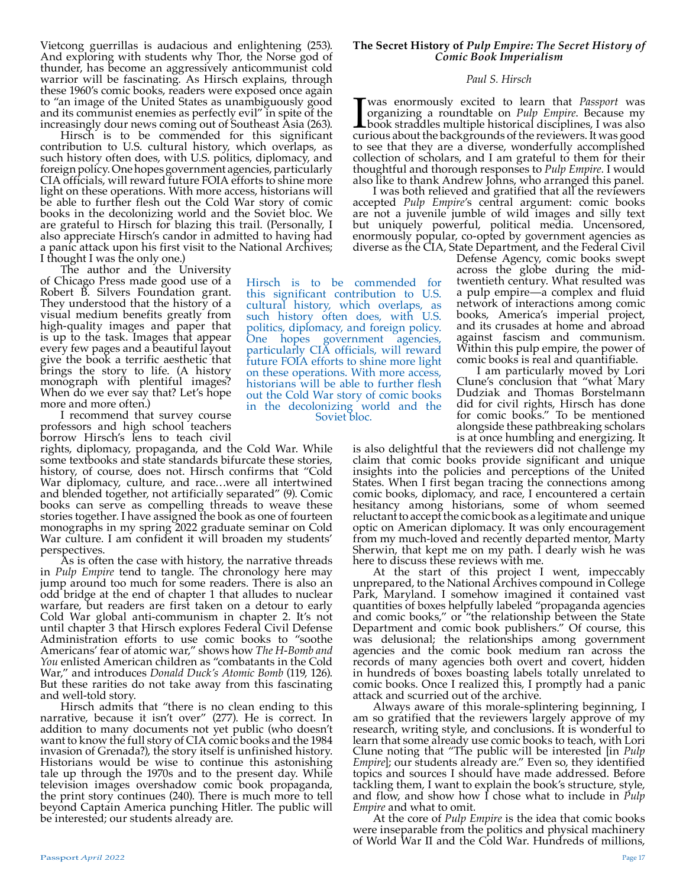Vietcong guerrillas is audacious and enlightening (253). And exploring with students why Thor, the Norse god of thunder, has become an aggressively anticommunist cold warrior will be fascinating. As Hirsch explains, through these 1960's comic books, readers were exposed once again to "an image of the United States as unambiguously good and its communist enemies as perfectly evil" in spite of the increasingly dour news coming out of Southeast Asia (263).

Hirsch is to be commended for this significant contribution to U.S. cultural history, which overlaps, as such history often does, with U.S. politics, diplomacy, and foreign policy. One hopes government agencies, particularly CIA officials, will reward future FOIA efforts to shine more light on these operations. With more access, historians will be able to further flesh out the Cold War story of comic books in the decolonizing world and the Soviet bloc. We are grateful to Hirsch for blazing this trail. (Personally, I also appreciate Hirsch's candor in admitted to having had a panic attack upon his first visit to the National Archives; I thought I was the only one.)

The author and the University of Chicago Press made good use of a Robert B. Silvers Foundation grant. They understood that the history of a visual medium benefits greatly from high-quality images and paper that is up to the task. Images that appear every few pages and a beautiful layout give the book a terrific aesthetic that brings the story to life. (A history monograph with plentiful images? When do we ever say that? Let's hope more and more often.)

I recommend that survey course professors and high school teachers borrow Hirsch's lens to teach civil

rights, diplomacy, propaganda, and the Cold War. While some textbooks and state standards bifurcate these stories, history, of course, does not. Hirsch confirms that "Cold War diplomacy, culture, and race…were all intertwined and blended together, not artificially separated" (9). Comic books can serve as compelling threads to weave these stories together. I have assigned the book as one of fourteen monographs in my spring 2022 graduate seminar on Cold War culture. I am confident it will broaden my students'

As is often the case with history, the narrative threads in *Pulp Empire* tend to tangle. The chronology here may jump around too much for some readers. There is also an odd bridge at the end of chapter 1 that alludes to nuclear warfare, but readers are first taken on a detour to early Cold War global anti-communism in chapter 2. It's not until chapter 3 that Hirsch explores Federal Civil Defense Administration efforts to use comic books to "soothe Americans' fear of atomic war," shows how *The H-Bomb and You* enlisted American children as "combatants in the Cold War," and introduces *Donald Duck's Atomic Bomb* (119, 126). But these rarities do not take away from this fascinating and well-told story.

Hirsch admits that "there is no clean ending to this narrative, because it isn't over" (277). He is correct. In addition to many documents not yet public (who doesn't want to know the full story of CIA comic books and the 1984 invasion of Grenada?), the story itself is unfinished history. Historians would be wise to continue this astonishing tale up through the 1970s and to the present day. While television images overshadow comic book propaganda, the print story continues (240). There is much more to tell beyond Captain America punching Hitler. The public will be interested; our students already are.

# **The Secret History of** *Pulp Empire: The Secret History of Comic Book Imperialism*

## *Paul S. Hirsch*

**T**was enormously excited to learn that *Passport* was organizing a roundtable on *Pulp Empire*. Because my book straddles multiple historical disciplines, I was also curious about the backgrounds of the reviewers. It was organizing a roundtable on *Pulp Empire*. Because my **L** book straddles multiple historical disciplines, I was also curious about the backgrounds of the reviewers. It was good to see that they are a diverse, wonderfully accomplished collection of scholars, and I am grateful to them for their thoughtful and thorough responses to *Pulp Empire.* I would also like to thank Andrew Johns, who arranged this panel.

I was both relieved and gratified that all the reviewers accepted *Pulp Empire*'s central argument: comic books are not a juvenile jumble of wild images and silly text but uniquely powerful, political media. Uncensored, enormously popular, co-opted by government agencies as diverse as the CIA, State Department, and the Federal Civil

Hirsch is to be commended for this significant contribution to U.S. cultural history, which overlaps, as such history often does, with U.S. politics, diplomacy, and foreign policy. One hopes government agencies, particularly CIA officials, will reward future FOIA efforts to shine more light on these operations. With more access, historians will be able to further flesh out the Cold War story of comic books in the decolonizing world and the

Soviet bloc.

Defense Agency, comic books swept across the globe during the midtwentieth century. What resulted was a pulp empire—a complex and fluid network of interactions among comic books, America's imperial project, and its crusades at home and abroad against fascism and communism. Within this pulp empire, the power of comic books is real and quantifiable.

I am particularly moved by Lori Clune's conclusion that "what Mary Dudziak and Thomas Borstelmann did for civil rights, Hirsch has done for comic books." To be mentioned alongside these pathbreaking scholars is at once humbling and energizing. It

is also delightful that the reviewers did not challenge my claim that comic books provide significant and unique insights into the policies and perceptions of the United States. When I first began tracing the connections among comic books, diplomacy, and race, I encountered a certain hesitancy among historians, some of whom seemed reluctant to accept the comic book as a legitimate and unique optic on American diplomacy. It was only encouragement from my much-loved and recently departed mentor, Marty Sherwin, that kept me on my path. I dearly wish he was here to discuss these reviews with me.

At the start of this project I went, impeccably unprepared, to the National Archives compound in College Park, Maryland. I somehow imagined it contained vast quantities of boxes helpfully labeled "propaganda agencies and comic books," or "the relationship between the State Department and comic book publishers." Of course, this was delusional; the relationships among government agencies and the comic book medium ran across the records of many agencies both overt and covert, hidden in hundreds of boxes boasting labels totally unrelated to comic books. Once I realized this, I promptly had a panic attack and scurried out of the archive.

Always aware of this morale-splintering beginning, I am so gratified that the reviewers largely approve of my research, writing style, and conclusions. It is wonderful to learn that some already use comic books to teach, with Lori Clune noting that "The public will be interested [in *Pulp Empire*]; our students already are." Even so, they identified topics and sources I should have made addressed. Before tackling them, I want to explain the book's structure, style, and flow, and show how I chose what to include in *Pulp Empire* and what to omit.

At the core of *Pulp Empire* is the idea that comic books were inseparable from the politics and physical machinery of World War II and the Cold War. Hundreds of millions,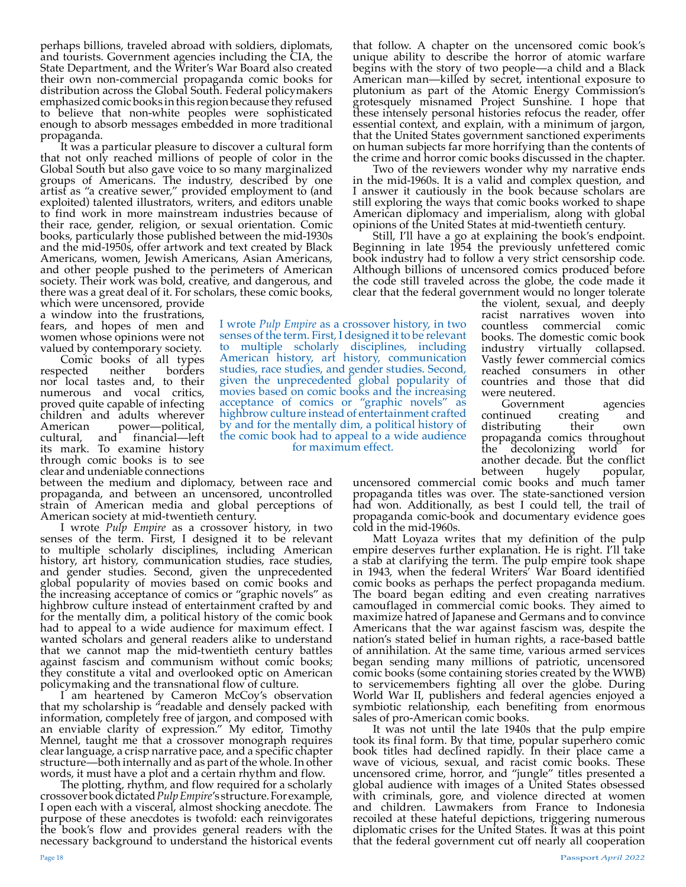perhaps billions, traveled abroad with soldiers, diplomats, and tourists. Government agencies including the CIA, the State Department, and the Writer's War Board also created their own non-commercial propaganda comic books for distribution across the Global South. Federal policymakers emphasized comic books in this region because they refused to believe that non-white peoples were sophisticated enough to absorb messages embedded in more traditional propaganda.

It was a particular pleasure to discover a cultural form that not only reached millions of people of color in the Global South but also gave voice to so many marginalized groups of Americans. The industry, described by one artist as "a creative sewer," provided employment to (and exploited) talented illustrators, writers, and editors unable to find work in more mainstream industries because of their race, gender, religion, or sexual orientation. Comic books, particularly those published between the mid-1930s and the mid-1950s, offer artwork and text created by Black Americans, women, Jewish Americans, Asian Americans, and other people pushed to the perimeters of American society. Their work was bold, creative, and dangerous, and there was a great deal of it. For scholars, these comic books,

which were uncensored, provide a window into the frustrations, fears, and hopes of men and women whose opinions were not valued by contemporary society.

Comic books of all types<br>ected neither borders respected neither borders nor local tastes and, to their numerous and vocal critics, proved quite capable of infecting children and adults wherever<br>American power—political. American power—political,<br>cultural, and financial—left and financial—left its mark. To examine history through comic books is to see clear and undeniable connections

between the medium and diplomacy, between race and propaganda, and between an uncensored, uncontrolled strain of American media and global perceptions of

American society at mid-twentieth century.<br>I wrote *Pulp Empire* as a crossover history, in two senses of the term. First, I designed it to be relevant to multiple scholarly disciplines, including American history, art history, communication studies, race studies, and gender studies. Second, given the unprecedented global popularity of movies based on comic books and the increasing acceptance of comics or "graphic novels" as highbrow culture instead of entertainment crafted by and for the mentally dim, a political history of the comic book had to appeal to a wide audience for maximum effect. I wanted scholars and general readers alike to understand that we cannot map the mid-twentieth century battles against fascism and communism without comic books; they constitute a vital and overlooked optic on American policymaking and the transnational flow of culture.

I am heartened by Cameron McCoy's observation that my scholarship is "readable and densely packed with information, completely free of jargon, and composed with an enviable clarity of expression." My editor, Timothy Mennel, taught me that a crossover monograph requires clear language, a crisp narrative pace, and a specific chapter structure—both internally and as part of the whole. In other words, it must have a plot and a certain rhythm and flow.

The plotting, rhythm, and flow required for a scholarly crossover book dictated *Pulp Empire*'s structure. For example, I open each with a visceral, almost shocking anecdote. The purpose of these anecdotes is twofold: each reinvigorates the book's flow and provides general readers with the necessary background to understand the historical events

that follow. A chapter on the uncensored comic book's unique ability to describe the horror of atomic warfare begins with the story of two people—a child and a Black American man—killed by secret, intentional exposure to plutonium as part of the Atomic Energy Commission's grotesquely misnamed Project Sunshine. I hope that these intensely personal histories refocus the reader, offer essential context, and explain, with a minimum of jargon, that the United States government sanctioned experiments on human subjects far more horrifying than the contents of the crime and horror comic books discussed in the chapter.

Two of the reviewers wonder why my narrative ends in the mid-1960s. It is a valid and complex question, and I answer it cautiously in the book because scholars are still exploring the ways that comic books worked to shape American diplomacy and imperialism, along with global opinions of the United States at mid-twentieth century.

Still, I'll have a go at explaining the book's endpoint. Beginning in late 1954 the previously unfettered comic book industry had to follow a very strict censorship code. Although billions of uncensored comics produced before the code still traveled across the globe, the code made it clear that the federal government would no longer tolerate

> the violent, sexual, and deeply racist narratives woven into countless commercial comic books. The domestic comic book<br>industry virtually collapsed. industry virtually Vastly fewer commercial comics reached consumers in other countries and those that did were neutered.

Government agencies<br>tinued creating and continued creating and<br>distributing their own distributing their own propaganda comics throughout<br>the decolonizing world for decolonizing world for another decade. But the conflict<br>between hugely popular, between

uncensored commercial comic books and much tamer propaganda titles was over. The state-sanctioned version had won. Additionally, as best I could tell, the trail of propaganda comic-book and documentary evidence goes

cold in the mid-1960s.<br>Matt Loyaza writes that my definition of the pulp Matt Loyaza writes that my definition of the pulp empire deserves further explanation. He is right. I'll take a stab at clarifying the term. The pulp empire took shape in 1943, when the federal Writers' War Board identified comic books as perhaps the perfect propaganda medium. The board began editing and even creating narratives camouflaged in commercial comic books. They aimed to maximize hatred of Japanese and Germans and to convince Americans that the war against fascism was, despite the nation's stated belief in human rights, a race-based battle of annihilation. At the same time, various armed services began sending many millions of patriotic, uncensored comic books (some containing stories created by the WWB) to servicemembers fighting all over the globe. During World War II, publishers and federal agencies enjoyed a symbiotic relationship, each benefiting from enormous sales of pro-American comic books.

It was not until the late 1940s that the pulp empire took its final form. By that time, popular superhero comic book titles had declined rapidly. In their place came a wave of vicious, sexual, and racist comic books. These uncensored crime, horror, and "jungle" titles presented a global audience with images of a United States obsessed with criminals, gore, and violence directed at women and children. Lawmakers from France to Indonesia recoiled at these hateful depictions, triggering numerous diplomatic crises for the United States. It was at this point that the federal government cut off nearly all cooperation

I wrote *Pulp Empire* as a crossover history, in two senses of the term. First, I designed it to be relevant to multiple scholarly disciplines, including American history, art history, communication studies, race studies, and gender studies. Second, given the unprecedented global popularity of movies based on comic books and the increasing acceptance of comics or "graphic novels" as highbrow culture instead of entertainment crafted by and for the mentally dim, a political history of the comic book had to appeal to a wide audience for maximum effect.